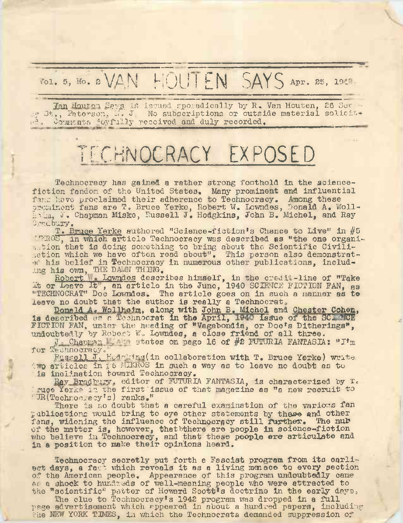## VOL. 5, NO. & VAN HOUTEN SAYS APT. 25, 19

Jan Houten Says is issued sporadically by R. Van Houten, 26 See oy St,, Paterson, N. J. No subscriptions or outside material solicit-Comments joyfully recoived and duly recorded.

## TECHNOCRACY EXPOSED

Technocracy has gained a rather strong foothold in the sciencefiction fandom of the United States. Many prominent and influential<br>fans heve proclaimed their adherence to Technocracy. Among these<br>prominent fans are T. Bruce Yerke, Robert W. Lowndes, Bonald A. Wollhamm, J. Chapman Miske, Russell J. Hodgkins, John B. Michel, and Ray Bradbury.

T. Bruce Yerke authored "Science-fiction's Chance to Live" in #5 WROS, in which article Technocracy was described as "the one organiastion that is doing something to bring about the Scientific Civili-<br>sation which we have often read about". This person also demonstratof his belief in Technocracy in numerous other publications, includ-

ing his own, THE DAMN THING.<br>
Robert W Lowndes describes himself, in the credit-line of "Take "TECHNOCRAT" Doc Lowndes. The article goes on in such a manner as to leeve no doubt that the author is really a Technocrat.

Donald A. Wollhedm, along with John B. Michel and Chester Cohen, is described as a Technocrat in the April, 1940 issue of the SCI WCE FICTION FAN, under the heeding of "Vagabondia, or Doo's Ditherings", undoubtedly by Robert W. Lowndes, a close friend of all three.

J Chapman states on page 16 of #2 FUTURIA FANTASIA: "I'm for Technocracy.

**Ensagli J. Kodakins(in collaboration with T. Bruce Yerke) write.**<br>Wo articles in  $\frac{1}{k}$  6 MIKROS in such a way as to leave no doubt as to is inclination toward Technocracy.

Ray Bradbury, editor of FUTURIA FANTASIA, is characterized by T. Truce Yerke in the first issue of that magazine as "a new recruit to  $T\mathbb{R}(\text{Techron}, \text{e} \text{y}^\dagger \text{s})$  ranks."

There is no doubt that a careful examination of the various fan publications would bring to eye other statements by these and other fans, widening the influence of Technocracy still further. The nub<br>of the matter is, however, the bthere are people in science-fiction<br>who believe in Technocracy, and that these people are articulate and in a position to make their opinions heard.

Technooracy secretly put forth a Fascist program from its earli-<br>est days, a fact which reveals it as a living menace to every section of the American people. Appearance of this program undoubtedly came as a shock to hundreds of well-meaning people who were attracted to the "scientific" patter of Howard Scott's doctrine in the early days.

The clue to Technocracy's 1942 program was dropped in a full page advertisement which appeared in about a hundred papers, including the NEW YORK TIMES, in which the Technocrats demanded suppression of